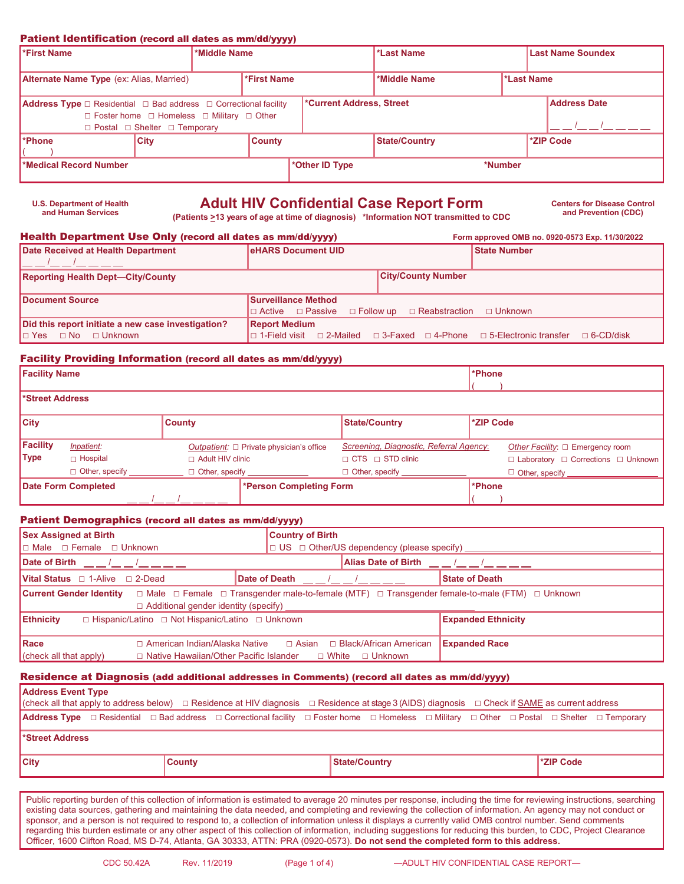### Patient Identification (record all dates as mm/dd/yyyy)

| <b>First Name</b><br>*Middle Name                                                                                                                                                                          |             | *Last Name |               |                                   |                      | Last Name Soundex |  |                     |
|------------------------------------------------------------------------------------------------------------------------------------------------------------------------------------------------------------|-------------|------------|---------------|-----------------------------------|----------------------|-------------------|--|---------------------|
| <b>Alternate Name Type</b> (ex: Alias, Married)                                                                                                                                                            |             |            | *First Name   | *Last Name<br><b>*Middle Name</b> |                      |                   |  |                     |
| <b>Address Type</b> $\Box$ Residential $\Box$ Bad address $\Box$ Correctional facility<br>$\Box$ Foster home $\Box$ Homeless $\Box$ Military $\Box$ Other<br>$\Box$ Postal $\Box$ Shelter $\Box$ Temporary |             |            |               | <b>*Current Address, Street</b>   |                      |                   |  | <b>Address Date</b> |
| I*Phone⊹                                                                                                                                                                                                   | <b>City</b> |            | <b>County</b> |                                   | <b>State/Country</b> |                   |  | *ZIP Code           |
| Medical Record Number                                                                                                                                                                                      |             |            |               | *Other ID Type                    |                      | *Number           |  |                     |

# **Adult HIV Confidential Case Report Form** Centers for Disease Control **Case Report Form** Centers for Disease Control **and Prevention** (CDC)

**and Prevention (CDC) (Patients >13 years of age at time of diagnosis) \*Information NOT transmitted to CDC**

#### Health Department Use Only (record all dates as mm/dd/yyyy) **Form approved OMB no. 0920-0573 Exp. 11/30/2022**

**U.S. Department of Health** 

| Date Received at Health Department                 | <b>eHARS Document UID</b>                                                                                        | <b>State Number</b> |
|----------------------------------------------------|------------------------------------------------------------------------------------------------------------------|---------------------|
|                                                    |                                                                                                                  |                     |
| <b>Reporting Health Dept-City/County</b>           | <b>City/County Number</b>                                                                                        |                     |
|                                                    |                                                                                                                  |                     |
| <b>IDocument Source</b>                            | <b>Surveillance Method</b>                                                                                       |                     |
|                                                    | $\Box$ Active $\Box$ Passive $\Box$ Follow up $\Box$ Reabstraction                                               | □ Unknown           |
| Did this report initiate a new case investigation? | <b>Report Medium</b>                                                                                             |                     |
| $\Box$ Yes $\Box$ No $\Box$ Unknown                | $\Box$ 1-Field visit $\Box$ 2-Mailed $\Box$ 3-Faxed $\Box$ 4-Phone $\Box$ 5-Electronic transfer $\Box$ 6-CD/disk |                     |

#### Facility Providing Information (record all dates as mm/dd/yyyy)

| <b>Facility Name</b>  |                              |                         |                                                      |                                         | *Phone    |                                                     |
|-----------------------|------------------------------|-------------------------|------------------------------------------------------|-----------------------------------------|-----------|-----------------------------------------------------|
| <b>Street Address</b> |                              |                         |                                                      |                                         |           |                                                     |
|                       |                              |                         |                                                      |                                         |           |                                                     |
| <b>City</b>           |                              | <b>County</b>           |                                                      | <b>State/Country</b>                    | *ZIP Code |                                                     |
|                       |                              |                         |                                                      |                                         |           |                                                     |
| Facility              | <b>Inpatient:</b>            |                         | <i>Outpatient:</i> $\Box$ Private physician's office | Screening, Diagnostic, Referral Agency: |           | Other Facility: $\Box$ Emergency room               |
| <b>Type</b>           | $\Box$ Hospital              | $\Box$ Adult HIV clinic |                                                      | $\sqcap$ CTS $\sqcap$ STD clinic        |           | $\Box$ Laboratory $\Box$ Corrections $\Box$ Unknown |
|                       | Other, specify _____________ |                         | □ Other, specify _____________                       | $\Box$ Other, specify $\Box$            |           | Other, specify ______________                       |
|                       | <b>Date Form Completed</b>   |                         | *Person Completing Form                              |                                         | *Phone    |                                                     |
|                       |                              |                         |                                                      |                                         |           |                                                     |

#### Patient Demographics (record all dates as mm/dd/yyyy)

| <b>Sex Assigned at Birth</b>                                                         | <b>Country of Birth</b>                                                                                                  |  |  |  |
|--------------------------------------------------------------------------------------|--------------------------------------------------------------------------------------------------------------------------|--|--|--|
| $\Box$ Male $\Box$ Female $\Box$ Unknown                                             | □ US □ Other/US dependency (please specify) ______________________                                                       |  |  |  |
| Date of Birth 1 / 1                                                                  | Alias Date of Birth Alias Alias Date of Birth Alias Alias Alias Alias Alias Alias Alias Alias Alias A                    |  |  |  |
| <b>Vital Status</b> $\Box$ 1-Alive $\Box$ 2-Dead                                     | <b>State of Death</b>                                                                                                    |  |  |  |
| <b>Current Gender Identity</b>                                                       | $\Box$ Male $\Box$ Female $\Box$ Transgender male-to-female (MTF) $\Box$ Transgender female-to-male (FTM) $\Box$ Unknown |  |  |  |
| <b>Ethnicity</b><br>$\Box$ Hispanic/Latino $\Box$ Not Hispanic/Latino $\Box$ Unknown | <b>Expanded Ethnicity</b>                                                                                                |  |  |  |
| <b>IRace</b>                                                                         | $\Box$ American Indian/Alaska Native $\Box$ Asian $\Box$ Black/African American<br><b>Expanded Race</b>                  |  |  |  |
| $\vert$ (check all that apply)                                                       | $\Box$ Native Hawaiian/Other Pacific Islander $\Box$ White $\Box$ Unknown                                                |  |  |  |

#### Residence at Diagnosis (add additional addresses in Comments) (record all dates as mm/dd/yyyy)

| <b>City</b>                                                                                                                                                                  |  | <b>County</b> |                                                                                                                                             | <b>State/Country</b> |  |  |  | <b>EXAIP Code</b> |  |
|------------------------------------------------------------------------------------------------------------------------------------------------------------------------------|--|---------------|---------------------------------------------------------------------------------------------------------------------------------------------|----------------------|--|--|--|-------------------|--|
| l*Street Address                                                                                                                                                             |  |               |                                                                                                                                             |                      |  |  |  |                   |  |
|                                                                                                                                                                              |  |               | Address Type □ Residential □ Bad address □ Correctional facility □ Foster home □ Homeless □ Military □ Other □ Postal □ Shelter □ Temporary |                      |  |  |  |                   |  |
| <b>Address Event Type</b><br>(check all that apply to address below) □ Residence at HIV diagnosis □ Residence at stage 3 (AIDS) diagnosis □ Check if SAME as current address |  |               |                                                                                                                                             |                      |  |  |  |                   |  |

Public reporting burden of this collection of information is estimated to average 20 minutes per response, including the time for reviewing instructions, searching existing data sources, gathering and maintaining the data needed, and completing and reviewing the collection of information. An agency may not conduct or sponsor, and a person is not required to respond to, a collection of information unless it displays a currently valid OMB control number. Send comments regarding this burden estimate or any other aspect of this collection of information, including suggestions for reducing this burden, to CDC, Project Clearance Officer, 1600 Clifton Road, MS D-74, Atlanta, GA 30333, ATTN: PRA (0920-0573). **Do not send the completed form to this address.**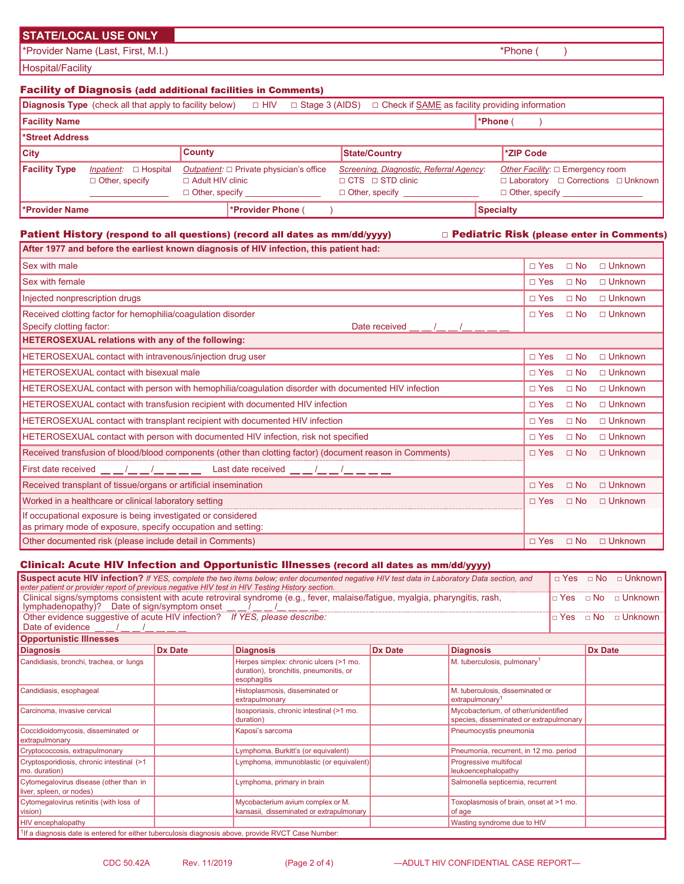# **STATE/LOCAL USE ONLY**

\*Provider Name (Last, First, M.I.)  $*$ Phone ( )

Hospital/Facility

# Facility of Diagnosis (add additional facilities in Comments)

|                      | <b>Diagnosis Type</b> (check all that apply to facility below) |                         | □ HIV                                                                  | $\Box$ Stage 3 (AIDS) | $\Box$ Check if SAME as facility providing information                                               |                  |                                                                                                   |
|----------------------|----------------------------------------------------------------|-------------------------|------------------------------------------------------------------------|-----------------------|------------------------------------------------------------------------------------------------------|------------------|---------------------------------------------------------------------------------------------------|
| <b>Facility Name</b> |                                                                |                         |                                                                        |                       |                                                                                                      | <b>*Phone</b> (  |                                                                                                   |
| l*Street Address     |                                                                |                         |                                                                        |                       |                                                                                                      |                  |                                                                                                   |
| <b>City</b>          |                                                                | <b>County</b>           |                                                                        |                       | State/Country                                                                                        |                  | *ZIP Code                                                                                         |
| <b>Facility Type</b> | <i>Inpatient:</i> $\Box$ Hospital<br>$\Box$ Other, specify     | $\Box$ Adult HIV clinic | Outpatient: $\Box$ Private physician's office<br>$\Box$ Other, specify |                       | Screening, Diagnostic, Referral Agency:<br>$\sqcap$ CTS $\sqcap$ STD clinic<br>$\Box$ Other, specify |                  | Other Facility: □ Emergency room<br>□ Laboratory □ Corrections □ Unknown<br>$\Box$ Other, specify |
| l*Provider Name      |                                                                |                         | *Provider Phone (                                                      |                       |                                                                                                      | <b>Specialty</b> |                                                                                                   |

# Patient History (respond to all questions) (record all dates as mm/dd/yyyy) □ Pediatric Risk (please enter in Comments)

| After 1977 and before the earliest known diagnosis of HIV infection, this patient had:                                                                                                                                                                                             |               |              |                |
|------------------------------------------------------------------------------------------------------------------------------------------------------------------------------------------------------------------------------------------------------------------------------------|---------------|--------------|----------------|
| <b>Sex with male</b>                                                                                                                                                                                                                                                               | $\Box$ Yes    | $\Box$ No    | $\Box$ Unknown |
| <b>Sex with female</b>                                                                                                                                                                                                                                                             | $\Box$ Yes    | $\Box$ No    | $\Box$ Unknown |
| Injected nonprescription drugs                                                                                                                                                                                                                                                     | $\Box$ Yes    | $\Box$ No    | $\Box$ Unknown |
| Received clotting factor for hemophilia/coagulation disorder<br>Specify clotting factor:<br>Date received                                                                                                                                                                          | $\Box$ Yes    | $\Box$ No    | $\Box$ Unknown |
| <b>HETEROSEXUAL relations with any of the following:</b>                                                                                                                                                                                                                           |               |              |                |
| HETEROSEXUAL contact with intravenous/injection drug user                                                                                                                                                                                                                          | $\Box$ Yes    | $\Box$ No    | $\Box$ Unknown |
| <b>HETEROSEXUAL contact with bisexual male</b>                                                                                                                                                                                                                                     | $\Box$ Yes    | $\Box$ No    | $\Box$ Unknown |
| HETEROSEXUAL contact with person with hemophilia/coagulation disorder with documented HIV infection                                                                                                                                                                                | $\Box$ Yes    | $\Box$ No    | $\Box$ Unknown |
| <b>HETEROSEXUAL contact with transfusion recipient with documented HIV infection</b>                                                                                                                                                                                               | $\Box$ Yes    | $\Box$ No    | $\Box$ Unknown |
| <b>HETEROSEXUAL contact with transplant recipient with documented HIV infection</b>                                                                                                                                                                                                | $\Box$ Yes    | $\square$ No | □ Unknown      |
| <b>HETEROSEXUAL contact with person with documented HIV infection, risk not specified</b>                                                                                                                                                                                          | $\Box$ Yes    | $\Box$ No    | $\Box$ Unknown |
| Received transfusion of blood/blood components (other than clotting factor) (document reason in Comments)                                                                                                                                                                          | $\Box$ Yes    | $\Box$ No    | $\Box$ Unknown |
| First date received $\underline{\qquad \qquad } = \underline{\qquad } = \underline{\qquad } = \underline{\qquad } = \underline{\qquad }$ Last date received $\underline{\qquad \qquad } = \underline{\qquad } / \underline{\qquad } = \underline{\qquad } = \underline{\qquad } =$ |               |              |                |
| Received transplant of tissue/organs or artificial insemination                                                                                                                                                                                                                    | $\square$ Yes | $\square$ No | $\Box$ Unknown |
| Worked in a healthcare or clinical laboratory setting                                                                                                                                                                                                                              | $\sqcap$ Yes  | $\Box$ No    | $\Box$ Unknown |
| If occupational exposure is being investigated or considered<br>as primary mode of exposure, specify occupation and setting:                                                                                                                                                       |               |              |                |
| Other documented risk (please include detail in Comments)                                                                                                                                                                                                                          | $\sqcap$ Yes  | $\Box$ No    | $\Box$ Unknown |

# Clinical: Acute HIV Infection and Opportunistic Illnesses (record all dates as mm/dd/yyyy)

| Suspect acute HIV infection? If YES, complete the two items below; enter documented negative HIV test data in Laboratory Data section, and<br>enter patient or provider report of previous negative HIV test in HIV Testing History section. | $\Box$ Yes | $\Box$ Unknown<br>$\Box$ No                                                                     |                |                                                                                 |  |                |  |  |
|----------------------------------------------------------------------------------------------------------------------------------------------------------------------------------------------------------------------------------------------|------------|-------------------------------------------------------------------------------------------------|----------------|---------------------------------------------------------------------------------|--|----------------|--|--|
| Clinical signs/symptoms consistent with acute retroviral syndrome (e.g., fever, malaise/fatigue, myalgia, pharyngitis, rash,<br>lymphadenopathy)? Date of sign/symptom onset                                                                 |            | □ Yes □ No □ Unknown                                                                            |                |                                                                                 |  |                |  |  |
| Other evidence suggestive of acute HIV infection? If YES, please describe:<br>$\Box$ Yes $\Box$ No $\Box$ Unknown<br>Date of evidence                                                                                                        |            |                                                                                                 |                |                                                                                 |  |                |  |  |
| <b>Opportunistic Illnesses</b>                                                                                                                                                                                                               |            |                                                                                                 |                |                                                                                 |  |                |  |  |
| <b>Diagnosis</b>                                                                                                                                                                                                                             | Dx Date    | <b>Diagnosis</b>                                                                                | <b>Dx Date</b> | <b>Diagnosis</b>                                                                |  | <b>Dx Date</b> |  |  |
| Candidiasis, bronchi, trachea, or lungs                                                                                                                                                                                                      |            | Herpes simplex: chronic ulcers (>1 mo.<br>duration), bronchitis, pneumonitis, or<br>esophagitis |                | M. tuberculosis, pulmonary <sup>1</sup>                                         |  |                |  |  |
| Candidiasis, esophageal                                                                                                                                                                                                                      |            | Histoplasmosis, disseminated or<br>extrapulmonary                                               |                | M. tuberculosis, disseminated or<br>extrapulmonary                              |  |                |  |  |
| Carcinoma, invasive cervical                                                                                                                                                                                                                 |            | Isosporiasis, chronic intestinal (>1 mo.<br>duration)                                           |                | Mycobacterium, of other/unidentified<br>species, disseminated or extrapulmonary |  |                |  |  |
| Coccidioidomycosis, disseminated or<br>extrapulmonary                                                                                                                                                                                        |            | Kaposi's sarcoma                                                                                |                | Pneumocystis pneumonia                                                          |  |                |  |  |
| Cryptococcosis, extrapulmonary                                                                                                                                                                                                               |            | Lymphoma, Burkitt's (or equivalent)                                                             |                | Pneumonia, recurrent, in 12 mo. period                                          |  |                |  |  |
| Cryptosporidiosis, chronic intestinal (>1<br>mo. duration)                                                                                                                                                                                   |            | Lymphoma, immunoblastic (or equivalent)                                                         |                | Progressive multifocal<br>leukoencephalopathy                                   |  |                |  |  |
| Cytomegalovirus disease (other than in<br>liver, spleen, or nodes)                                                                                                                                                                           |            | Lymphoma, primary in brain                                                                      |                | Salmonella septicemia, recurrent                                                |  |                |  |  |
| Cytomegalovirus retinitis (with loss of<br>vision)                                                                                                                                                                                           |            | Mycobacterium avium complex or M.<br>kansasii, disseminated or extrapulmonary                   |                | Toxoplasmosis of brain, onset at >1 mo.<br>of age                               |  |                |  |  |
| <b>HIV</b> encephalopathy<br>Wasting syndrome due to HIV                                                                                                                                                                                     |            |                                                                                                 |                |                                                                                 |  |                |  |  |
| <sup>1</sup> If a diagnosis date is entered for either tuberculosis diagnosis above, provide RVCT Case Number:                                                                                                                               |            |                                                                                                 |                |                                                                                 |  |                |  |  |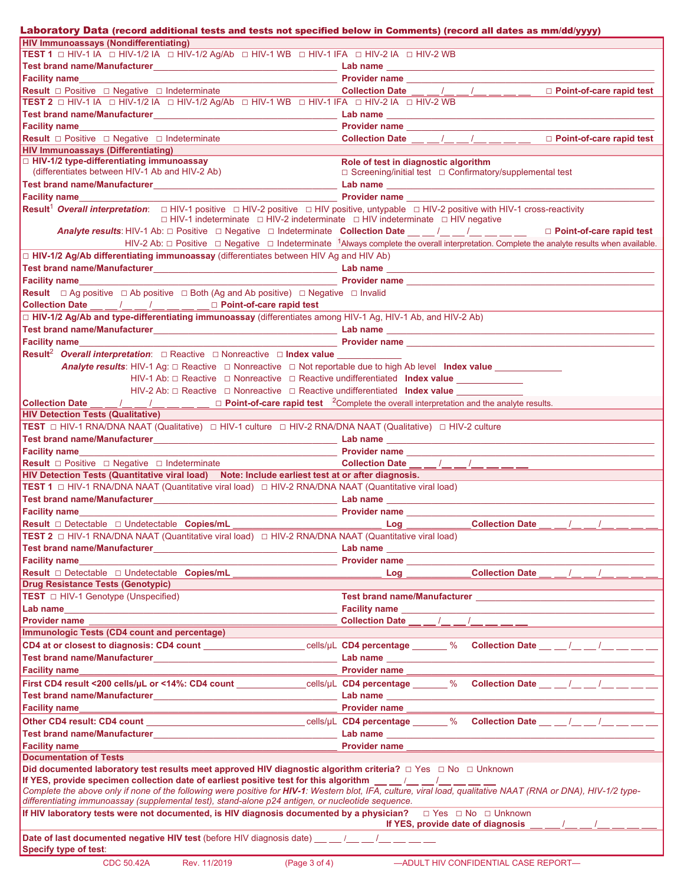| Laboratory Data (record additional tests and tests not specified below in Comments) (record all dates as mm/dd/yyyy)                                                                                                                                                      |                                                                                                                                                                                                                                                                                                                                                                                                                                                                                                                                                                                                                                  |
|---------------------------------------------------------------------------------------------------------------------------------------------------------------------------------------------------------------------------------------------------------------------------|----------------------------------------------------------------------------------------------------------------------------------------------------------------------------------------------------------------------------------------------------------------------------------------------------------------------------------------------------------------------------------------------------------------------------------------------------------------------------------------------------------------------------------------------------------------------------------------------------------------------------------|
| <b>HIV Immunoassays (Nondifferentiating)</b>                                                                                                                                                                                                                              |                                                                                                                                                                                                                                                                                                                                                                                                                                                                                                                                                                                                                                  |
| TEST 1 O HIV-1 IA O HIV-1/2 IA O HIV-1/2 Ag/Ab O HIV-1 WB O HIV-1 IFA O HIV-2 IA O HIV-2 WB                                                                                                                                                                               |                                                                                                                                                                                                                                                                                                                                                                                                                                                                                                                                                                                                                                  |
|                                                                                                                                                                                                                                                                           |                                                                                                                                                                                                                                                                                                                                                                                                                                                                                                                                                                                                                                  |
|                                                                                                                                                                                                                                                                           |                                                                                                                                                                                                                                                                                                                                                                                                                                                                                                                                                                                                                                  |
| <b>Result</b> □ Positive □ Negative □ Indeterminate                                                                                                                                                                                                                       | Collection Date __ _/_ _/_ _/_ __ __ _ D Point-of-care rapid test                                                                                                                                                                                                                                                                                                                                                                                                                                                                                                                                                                |
| TEST 2 □ HIV-1 IA □ HIV-1/2 IA □ HIV-1/2 Ag/Ab □ HIV-1 WB □ HIV-1 IFA □ HIV-2 IA □ HIV-2 WB                                                                                                                                                                               |                                                                                                                                                                                                                                                                                                                                                                                                                                                                                                                                                                                                                                  |
|                                                                                                                                                                                                                                                                           |                                                                                                                                                                                                                                                                                                                                                                                                                                                                                                                                                                                                                                  |
| Facility name <b>Example 2 CONSUMPLE 2 Provider name CONSUMPLE 2 2 <b>Provider name CONSUMPLE 2 2 A</b></b>                                                                                                                                                               |                                                                                                                                                                                                                                                                                                                                                                                                                                                                                                                                                                                                                                  |
| <b>Result</b> □ Positive □ Negative □ Indeterminate                                                                                                                                                                                                                       | Collection Date $\underline{\qquad}$ $\underline{\qquad}$ $\underline{\qquad}$ $\underline{\qquad}$ $\underline{\qquad}$ $\underline{\qquad}$<br>$\Box$ Point-of-care rapid test                                                                                                                                                                                                                                                                                                                                                                                                                                                 |
| <b>HIV Immunoassays (Differentiating)</b>                                                                                                                                                                                                                                 |                                                                                                                                                                                                                                                                                                                                                                                                                                                                                                                                                                                                                                  |
| □ HIV-1/2 type-differentiating immunoassay                                                                                                                                                                                                                                | Role of test in diagnostic algorithm                                                                                                                                                                                                                                                                                                                                                                                                                                                                                                                                                                                             |
| (differentiates between HIV-1 Ab and HIV-2 Ab)                                                                                                                                                                                                                            | □ Screening/initial test □ Confirmatory/supplemental test                                                                                                                                                                                                                                                                                                                                                                                                                                                                                                                                                                        |
| Test brand name/Manufacturer and the contract of the contract of the contract of the contract of the contract of the contract of the contract of the contract of the contract of the contract of the contract of the contract                                             |                                                                                                                                                                                                                                                                                                                                                                                                                                                                                                                                                                                                                                  |
|                                                                                                                                                                                                                                                                           |                                                                                                                                                                                                                                                                                                                                                                                                                                                                                                                                                                                                                                  |
| <b>Result<sup>1</sup> Overall interpretation</b> : □ HIV-1 positive □ HIV-2 positive □ HIV positive, untypable □ HIV-2 positive with HIV-1 cross-reactivity                                                                                                               |                                                                                                                                                                                                                                                                                                                                                                                                                                                                                                                                                                                                                                  |
| $\Box$ HIV-1 indeterminate $\Box$ HIV-2 indeterminate $\Box$ HIV indeterminate $\Box$ HIV negative                                                                                                                                                                        |                                                                                                                                                                                                                                                                                                                                                                                                                                                                                                                                                                                                                                  |
|                                                                                                                                                                                                                                                                           | Analyte results: HIV-1 Ab: □ Positive □ Negative □ Indeterminate Collection Date __ /_ /_ /_ /_ _ /_ _ _ □ Point-of-care rapid test                                                                                                                                                                                                                                                                                                                                                                                                                                                                                              |
|                                                                                                                                                                                                                                                                           | HIV-2 Ab: $\Box$ Positive $\Box$ Negative $\Box$ Indeterminate <sup>1</sup> Always complete the overall interpretation. Complete the analyte results when available.                                                                                                                                                                                                                                                                                                                                                                                                                                                             |
| $\Box$ HIV-1/2 Ag/Ab differentiating immunoassay (differentiates between HIV Ag and HIV Ab)                                                                                                                                                                               |                                                                                                                                                                                                                                                                                                                                                                                                                                                                                                                                                                                                                                  |
|                                                                                                                                                                                                                                                                           |                                                                                                                                                                                                                                                                                                                                                                                                                                                                                                                                                                                                                                  |
| <b>Facility name Example 2018 Contract Contract Contract Contract Contract Contract Contract Contract Contract Contract Contract Contract Contract Contract Contract Contract Contract Contract Contract Contract Contract C</b>                                          |                                                                                                                                                                                                                                                                                                                                                                                                                                                                                                                                                                                                                                  |
| <b>Result</b> $\Box$ Ag positive $\Box$ Ab positive $\Box$ Both (Ag and Ab positive) $\Box$ Negative $\Box$ Invalid                                                                                                                                                       |                                                                                                                                                                                                                                                                                                                                                                                                                                                                                                                                                                                                                                  |
| Collection Date __ _ /_ _ _/_ _ _/_ _ _ _ D Point-of-care rapid test                                                                                                                                                                                                      |                                                                                                                                                                                                                                                                                                                                                                                                                                                                                                                                                                                                                                  |
| □ HIV-1/2 Ag/Ab and type-differentiating immunoassay (differentiates among HIV-1 Ag, HIV-1 Ab, and HIV-2 Ab)                                                                                                                                                              |                                                                                                                                                                                                                                                                                                                                                                                                                                                                                                                                                                                                                                  |
|                                                                                                                                                                                                                                                                           |                                                                                                                                                                                                                                                                                                                                                                                                                                                                                                                                                                                                                                  |
| <b>Facility name Example 2</b> and the contract of the contract of the contract of the contract of the contract of the contract of the contract of the contract of the contract of the contract of the contract of the contract o                                         |                                                                                                                                                                                                                                                                                                                                                                                                                                                                                                                                                                                                                                  |
| Result <sup>2</sup> Overall interpretation: □ Reactive □ Nonreactive □ Index value ____________                                                                                                                                                                           |                                                                                                                                                                                                                                                                                                                                                                                                                                                                                                                                                                                                                                  |
| <b>Analyte results:</b> HIV-1 Ag: $\Box$ Reactive $\Box$ Nonreactive $\Box$ Not reportable due to high Ab level Index value                                                                                                                                               |                                                                                                                                                                                                                                                                                                                                                                                                                                                                                                                                                                                                                                  |
| $HIV-1$ Ab: $\Box$ Reactive $\Box$ Nonreactive $\Box$ Reactive undifferentiated Index value                                                                                                                                                                               |                                                                                                                                                                                                                                                                                                                                                                                                                                                                                                                                                                                                                                  |
| HIV-2 Ab: □ Reactive □ Nonreactive □ Reactive undifferentiated Index value                                                                                                                                                                                                |                                                                                                                                                                                                                                                                                                                                                                                                                                                                                                                                                                                                                                  |
| <b>Collection Date</b> __ _/__ _/__ __/__ _ Point-of-care rapid test <sup>2</sup> Complete the overall interpretation and the analyte results.                                                                                                                            |                                                                                                                                                                                                                                                                                                                                                                                                                                                                                                                                                                                                                                  |
| <b>HIV Detection Tests (Qualitative)</b>                                                                                                                                                                                                                                  |                                                                                                                                                                                                                                                                                                                                                                                                                                                                                                                                                                                                                                  |
| TEST □ HIV-1 RNA/DNA NAAT (Qualitative) □ HIV-1 culture □ HIV-2 RNA/DNA NAAT (Qualitative) □ HIV-2 culture                                                                                                                                                                |                                                                                                                                                                                                                                                                                                                                                                                                                                                                                                                                                                                                                                  |
|                                                                                                                                                                                                                                                                           |                                                                                                                                                                                                                                                                                                                                                                                                                                                                                                                                                                                                                                  |
|                                                                                                                                                                                                                                                                           |                                                                                                                                                                                                                                                                                                                                                                                                                                                                                                                                                                                                                                  |
| Result <b>D</b> Positive <b>D</b> Negative <b>D</b> Indeterminate                                                                                                                                                                                                         |                                                                                                                                                                                                                                                                                                                                                                                                                                                                                                                                                                                                                                  |
| HIV Detection Tests (Quantitative viral load) Note: Include earliest test at or after diagnosis.                                                                                                                                                                          | Collection Date __ _ /_ _ _/ _ _ _ /__ _ _ _                                                                                                                                                                                                                                                                                                                                                                                                                                                                                                                                                                                     |
| <b>TEST 1</b> □ HIV-1 RNA/DNA NAAT (Quantitative viral load) □ HIV-2 RNA/DNA NAAT (Quantitative viral load)                                                                                                                                                               |                                                                                                                                                                                                                                                                                                                                                                                                                                                                                                                                                                                                                                  |
|                                                                                                                                                                                                                                                                           |                                                                                                                                                                                                                                                                                                                                                                                                                                                                                                                                                                                                                                  |
|                                                                                                                                                                                                                                                                           |                                                                                                                                                                                                                                                                                                                                                                                                                                                                                                                                                                                                                                  |
| <b>Facility name Example 2018</b>                                                                                                                                                                                                                                         | <b>Example 2018 Provider name</b> Provider 2018                                                                                                                                                                                                                                                                                                                                                                                                                                                                                                                                                                                  |
| <b>Result</b> □ Detectable □ Undetectable Copies/mL                                                                                                                                                                                                                       | <b>Collection Date</b><br>Log                                                                                                                                                                                                                                                                                                                                                                                                                                                                                                                                                                                                    |
| TEST 2 □ HIV-1 RNA/DNA NAAT (Quantitative viral load) □ HIV-2 RNA/DNA NAAT (Quantitative viral load)                                                                                                                                                                      |                                                                                                                                                                                                                                                                                                                                                                                                                                                                                                                                                                                                                                  |
|                                                                                                                                                                                                                                                                           |                                                                                                                                                                                                                                                                                                                                                                                                                                                                                                                                                                                                                                  |
| <b>Facility name</b>                                                                                                                                                                                                                                                      | Provider name                                                                                                                                                                                                                                                                                                                                                                                                                                                                                                                                                                                                                    |
| Result □ Detectable □ Undetectable Copies/mL                                                                                                                                                                                                                              | Collection Date $\underline{\qquad}$ $\underline{\qquad}$ $\underline{\qquad}$ $\underline{\qquad}$ $\underline{\qquad}$ $\underline{\qquad}$<br>$\overline{\phantom{a}}$ $\overline{\phantom{a}}$ $\overline{\phantom{a}}$ $\overline{\phantom{a}}$ $\overline{\phantom{a}}$ $\overline{\phantom{a}}$ $\overline{\phantom{a}}$ $\overline{\phantom{a}}$ $\overline{\phantom{a}}$ $\overline{\phantom{a}}$ $\overline{\phantom{a}}$ $\overline{\phantom{a}}$ $\overline{\phantom{a}}$ $\overline{\phantom{a}}$ $\overline{\phantom{a}}$ $\overline{\phantom{a}}$ $\overline{\phantom{a}}$ $\overline{\phantom{a}}$ $\overline{\$ |
| Drug Resistance Tests (Genotypic)                                                                                                                                                                                                                                         |                                                                                                                                                                                                                                                                                                                                                                                                                                                                                                                                                                                                                                  |
|                                                                                                                                                                                                                                                                           |                                                                                                                                                                                                                                                                                                                                                                                                                                                                                                                                                                                                                                  |
|                                                                                                                                                                                                                                                                           |                                                                                                                                                                                                                                                                                                                                                                                                                                                                                                                                                                                                                                  |
| <b>Provider name</b>                                                                                                                                                                                                                                                      | Collection Date $\underline{\qquad \qquad}$ / $\underline{\qquad \qquad}$ / $\underline{\qquad \qquad}$ / $\underline{\qquad \qquad}$                                                                                                                                                                                                                                                                                                                                                                                                                                                                                            |
| <b>Immunologic Tests (CD4 count and percentage)</b>                                                                                                                                                                                                                       |                                                                                                                                                                                                                                                                                                                                                                                                                                                                                                                                                                                                                                  |
|                                                                                                                                                                                                                                                                           | CD4 at or closest to diagnosis: CD4 count cells/µL CD4 percentage % Collection Date / /                                                                                                                                                                                                                                                                                                                                                                                                                                                                                                                                          |
|                                                                                                                                                                                                                                                                           |                                                                                                                                                                                                                                                                                                                                                                                                                                                                                                                                                                                                                                  |
| <b>Facility name</b>                                                                                                                                                                                                                                                      | Provider name                                                                                                                                                                                                                                                                                                                                                                                                                                                                                                                                                                                                                    |
|                                                                                                                                                                                                                                                                           | First CD4 result <200 cells/µL or <14%: CD4 count _____________cells/µL CD4 percentage _____% Collection Date __ __/_ __/__ __ __ __                                                                                                                                                                                                                                                                                                                                                                                                                                                                                             |
|                                                                                                                                                                                                                                                                           |                                                                                                                                                                                                                                                                                                                                                                                                                                                                                                                                                                                                                                  |
| <b>Facility name</b>                                                                                                                                                                                                                                                      | <b>Provider name</b>                                                                                                                                                                                                                                                                                                                                                                                                                                                                                                                                                                                                             |
|                                                                                                                                                                                                                                                                           | Other CD4 result: CD4 count __________________________________cells/µL CD4 percentage _____% Collection Date __ __/__ __/__ ___ __                                                                                                                                                                                                                                                                                                                                                                                                                                                                                               |
|                                                                                                                                                                                                                                                                           |                                                                                                                                                                                                                                                                                                                                                                                                                                                                                                                                                                                                                                  |
| Test brand name/Manufacturer                     Lab name                                                                                                                                                                                                                 |                                                                                                                                                                                                                                                                                                                                                                                                                                                                                                                                                                                                                                  |
| <b>Facility name</b>                                                                                                                                                                                                                                                      | <b>Provider name</b>                                                                                                                                                                                                                                                                                                                                                                                                                                                                                                                                                                                                             |
| <b>Documentation of Tests</b>                                                                                                                                                                                                                                             |                                                                                                                                                                                                                                                                                                                                                                                                                                                                                                                                                                                                                                  |
| Did documented laboratory test results meet approved HIV diagnostic algorithm criteria? □ Yes □ No □ Unknown                                                                                                                                                              |                                                                                                                                                                                                                                                                                                                                                                                                                                                                                                                                                                                                                                  |
| If YES, provide specimen collection date of earliest positive test for this algorithm ___/_ /__ /__ /__<br>Complete the above only if none of the following were positive for HIV-1: Western blot, IFA, culture, viral load, qualitative NAAT (RNA or DNA), HIV-1/2 type- |                                                                                                                                                                                                                                                                                                                                                                                                                                                                                                                                                                                                                                  |
| differentiating immunoassay (supplemental test), stand-alone p24 antigen, or nucleotide sequence.                                                                                                                                                                         |                                                                                                                                                                                                                                                                                                                                                                                                                                                                                                                                                                                                                                  |
| If HIV laboratory tests were not documented, is HIV diagnosis documented by a physician? $\Box$ Yes $\Box$ No $\Box$ Unknown                                                                                                                                              |                                                                                                                                                                                                                                                                                                                                                                                                                                                                                                                                                                                                                                  |
|                                                                                                                                                                                                                                                                           | If YES, provide date of diagnosis /                                                                                                                                                                                                                                                                                                                                                                                                                                                                                                                                                                                              |
| Date of last documented negative HIV test (before HIV diagnosis date) __ _/__ _/__ _/__ __                                                                                                                                                                                |                                                                                                                                                                                                                                                                                                                                                                                                                                                                                                                                                                                                                                  |
| Specify type of test:                                                                                                                                                                                                                                                     |                                                                                                                                                                                                                                                                                                                                                                                                                                                                                                                                                                                                                                  |
| (Page 3 of 4)<br>CDC 50.42A<br>Rev. 11/2019                                                                                                                                                                                                                               | -ADULT HIV CONFIDENTIAL CASE REPORT-                                                                                                                                                                                                                                                                                                                                                                                                                                                                                                                                                                                             |
|                                                                                                                                                                                                                                                                           |                                                                                                                                                                                                                                                                                                                                                                                                                                                                                                                                                                                                                                  |